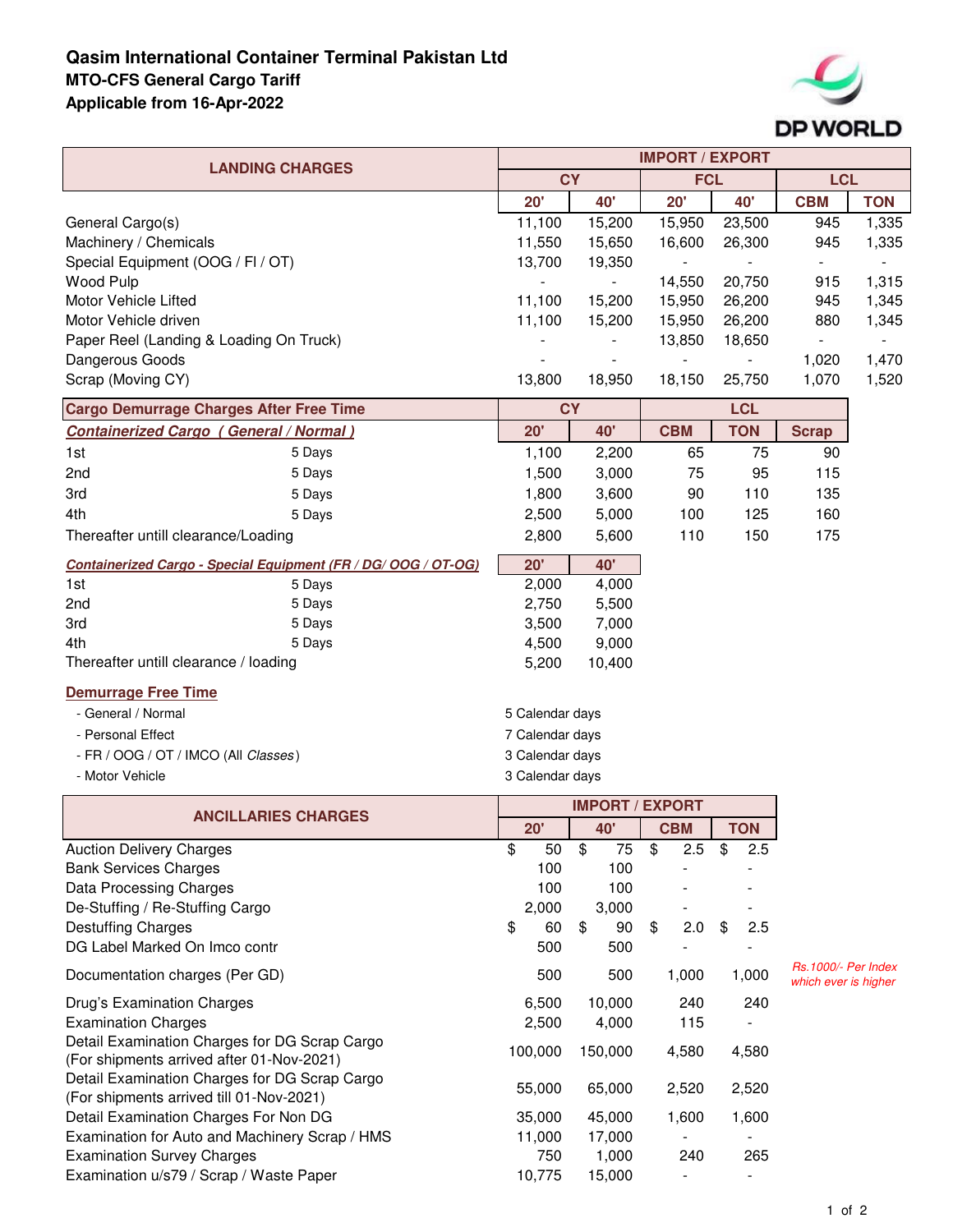## **Qasim International Container Terminal Pakistan Ltd MTO-CFS General Cargo Tariff Applicable from 16-Apr-2022**



|                                                                | <b>IMPORT / EXPORT</b> |                |                        |                |                                                    |            |  |
|----------------------------------------------------------------|------------------------|----------------|------------------------|----------------|----------------------------------------------------|------------|--|
| <b>LANDING CHARGES</b>                                         |                        | <b>CY</b>      |                        | <b>FCL</b>     |                                                    | <b>LCL</b> |  |
|                                                                | 20'                    | 40'            | 20'                    | 40'            | <b>CBM</b>                                         | <b>TON</b> |  |
| General Cargo(s)                                               | 11,100                 | 15,200         | 15,950                 | 23,500         | 945                                                | 1,335      |  |
| Machinery / Chemicals                                          | 11,550                 | 15,650         | 16,600                 | 26,300         | 945                                                | 1,335      |  |
| Special Equipment (OOG / FI / OT)                              | 13,700                 | 19,350         |                        |                | $\blacksquare$                                     |            |  |
| <b>Wood Pulp</b>                                               |                        | $\blacksquare$ | 14,550                 | 20,750         | 915                                                | 1,315      |  |
| <b>Motor Vehicle Lifted</b>                                    | 11,100                 | 15,200         | 15,950                 | 26,200         | 945                                                | 1,345      |  |
| Motor Vehicle driven                                           | 11,100                 | 15,200         | 15,950                 | 26,200         | 880                                                | 1,345      |  |
| Paper Reel (Landing & Loading On Truck)                        |                        |                | 13,850                 | 18,650         | $\blacksquare$                                     |            |  |
| Dangerous Goods                                                |                        |                | $\blacksquare$         | $\blacksquare$ | 1,020                                              | 1,470      |  |
| Scrap (Moving CY)                                              | 13,800                 | 18,950         | 18,150                 | 25,750         | 1,070                                              | 1,520      |  |
| <b>Cargo Demurrage Charges After Free Time</b>                 | <b>CY</b>              |                |                        | <b>LCL</b>     |                                                    |            |  |
| <b>Containerized Cargo (General / Normal)</b>                  | 20'                    | 40'            |                        | <b>TON</b>     | <b>Scrap</b>                                       |            |  |
| 1st<br>5 Days                                                  | 1,100                  | 2,200          | <b>CBM</b><br>65       | 75             | 90                                                 |            |  |
| 2nd<br>5 Days                                                  | 1,500                  | 3,000          | 75                     | 95             | 115                                                |            |  |
| 3rd<br>5 Days                                                  | 1,800                  | 3,600          | 90                     | 110            | 135                                                |            |  |
| 4th<br>5 Days                                                  | 2,500                  | 5,000          | 100                    | 125            | 160                                                |            |  |
| Thereafter untill clearance/Loading                            | 2,800                  | 5,600          | 110                    | 150            | 175                                                |            |  |
|                                                                |                        |                |                        |                |                                                    |            |  |
| Containerized Cargo - Special Equipment (FR / DG/ OOG / OT-OG) | 20'                    | 40'            |                        |                |                                                    |            |  |
| 1st<br>5 Days                                                  | 2,000                  | 4,000          |                        |                |                                                    |            |  |
| 2nd<br>5 Days                                                  | 2,750                  | 5,500          |                        |                |                                                    |            |  |
| 3rd<br>5 Days                                                  | 3,500                  | 7,000          |                        |                |                                                    |            |  |
| 4th<br>5 Days                                                  | 4,500                  | 9,000          |                        |                |                                                    |            |  |
| Thereafter untill clearance / loading                          | 5,200                  | 10,400         |                        |                |                                                    |            |  |
| <b>Demurrage Free Time</b>                                     |                        |                |                        |                |                                                    |            |  |
| - General / Normal                                             | 5 Calendar days        |                |                        |                |                                                    |            |  |
| - Personal Effect                                              | 7 Calendar days        |                |                        |                |                                                    |            |  |
| - FR / OOG / OT / IMCO (All Classes)                           | 3 Calendar days        |                |                        |                |                                                    |            |  |
| - Motor Vehicle                                                | 3 Calendar days        |                |                        |                |                                                    |            |  |
|                                                                |                        |                | <b>IMPORT / EXPORT</b> |                |                                                    |            |  |
| <b>ANCILLARIES CHARGES</b>                                     | 20'                    | 40'            | <b>CBM</b>             | <b>TON</b>     |                                                    |            |  |
| <b>Auction Delivery Charges</b>                                | \$<br>50               | \$<br>75       | \$<br>2.5              | \$<br>2.5      |                                                    |            |  |
| <b>Bank Services Charges</b>                                   | 100                    | 100            |                        |                |                                                    |            |  |
| Data Processing Charges                                        | 100                    | 100            |                        |                |                                                    |            |  |
| De-Stuffing / Re-Stuffing Cargo                                | 2,000                  | 3,000          |                        |                |                                                    |            |  |
| <b>Destuffing Charges</b>                                      | \$<br>60               | 90<br>\$       | \$<br>2.0              | 2.5<br>\$      |                                                    |            |  |
| DG Label Marked On Imco contr                                  | 500                    | 500            |                        |                |                                                    |            |  |
| Documentation charges (Per GD)                                 | 500                    | 500            | 1,000                  | 1,000          | <b>Rs.1000/- Per Index</b><br>which ever is higher |            |  |
| Drug's Examination Charges                                     | 6,500                  | 10,000         | 240                    | 240            |                                                    |            |  |
| <b>Examination Charges</b>                                     | 2,500                  | 4,000          | 115                    |                |                                                    |            |  |
| Detail Examination Charges for DG Scrap Cargo                  |                        |                |                        |                |                                                    |            |  |
| (For shipments arrived after 01-Nov-2021)                      | 100,000                | 150,000        | 4,580                  | 4,580          |                                                    |            |  |
| Detail Examination Charges for DG Scrap Cargo                  |                        |                |                        |                |                                                    |            |  |
| (For shipments arrived till 01-Nov-2021)                       | 55,000                 | 65,000         | 2,520                  | 2,520          |                                                    |            |  |
| Detail Examination Charges For Non DG                          | 35,000                 | 45,000         | 1,600                  | 1,600          |                                                    |            |  |
| Examination for Auto and Machinery Scrap / HMS                 | 11,000                 | 17,000         |                        |                |                                                    |            |  |
| <b>Examination Survey Charges</b>                              | 750                    | 1,000          | 240                    | 265            |                                                    |            |  |
| Examination u/s79 / Scrap / Waste Paper                        | 10,775                 | 15,000         |                        |                |                                                    |            |  |